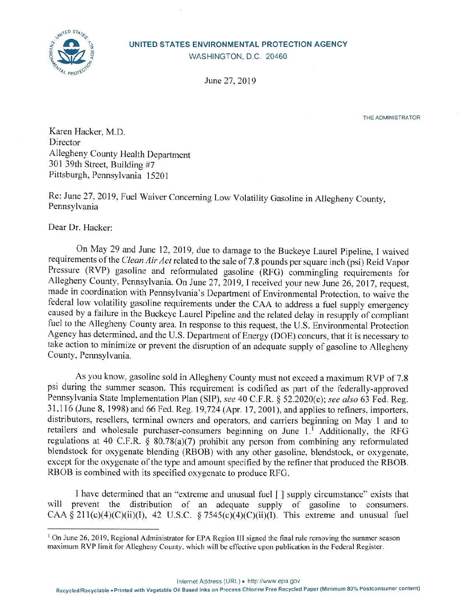



WASHINGTON, D.C. 20460

June 27, 2019

THE ADMINISTRATOR

Karen Hacker, M.D. Director Allegheny County Health Department 301 39th Street, Building #7 Pittsburgh, Pennsylvania 15201

Re: June 27, 2019, Fuel Waiver Concerning Low Volatility Gasoline in AJlegheny County, Pennsylvania

Dear Dr. Hacker:

On May 29 and June 12, 2019, due to damage to the Buckeye Laurel Pipeline, I waived requirements of the *Clean Air Act* related to the sale of 7.8 pounds per square inch (psi) Reid Vapor Pressure (RVP) gasoline and reformulated gasoline (RFG) commingling requirements for Allegheny County, Pennsylvania. On June 27, 2019, I received your new June 26, 2017, request, made in coordination with Pennsylvania's Department of Environmental Protection, to waive the federal low volatility gasoline requirements under the CAA to address a fuel supply emergency caused by a failure in the Buckeye Laurel Pipeline and the related delay in resupply of compliant fuel to the Allegheny County area. In response to this request, the U.S. Environmental Protection Agency has determined, and the U.S. Department of Energy (DOE) concurs, that it is necessary to take action to minimize or prevent the disruption of an adequate supply of gasoline to Allegheny County, Pennsylvania.

As you know, gasoline sold in Allegheny County must not exceed a maximum RVP of 7.8 psi during the summer season. This requirement is codified as part of the federally-approved Pennsylvania State Implementation Plan (SIP), *see* 40 C.F.R. § 52.2020(c); *see also* 63 Fed. Reg. 31,116 (June 8, 1998) and 66 Fed. Reg. 19,724 (Apr. 17, 2001), and applies to refiners, importers, distributors, resellers, terminal owners and operators, and carriers beginning on May 1 and to retailers and wholesale purchaser-consumers beginning on June  $1<sup>1</sup>$  Additionally, the RFG regulations at 40 C.F.R. § 80.78(a)(7) prohibit any person from combining any reformulated blendstock for oxygenate blending (RBOB) with any other gasoline, blendstock, or oxygenate, except for the oxygenate of the type and amount specified by the refiner that produced the RBOB. RBOB is combined with its specified oxygenate to produce RFG.

I have determined that an "extreme and unusual fuel [ ] supply circumstance" exists that will prevent the distribution of an adequate supply of gasoline to consumers. CAA § 211(c)(4)(C)(ii)(I), 42 U.S.C. § 7545(c)(4)(C)(ii)(I). This extreme and unusual fuel

Internet Address (URL)• <http://www.epa.gov>

<sup>&</sup>lt;sup>1</sup> On June 26, 2019, Regional Administrator for EPA Region III signed the final rule removing the summer season maximum RVP limit for Allegheny County, which will be effective upon publication in the Federal Register.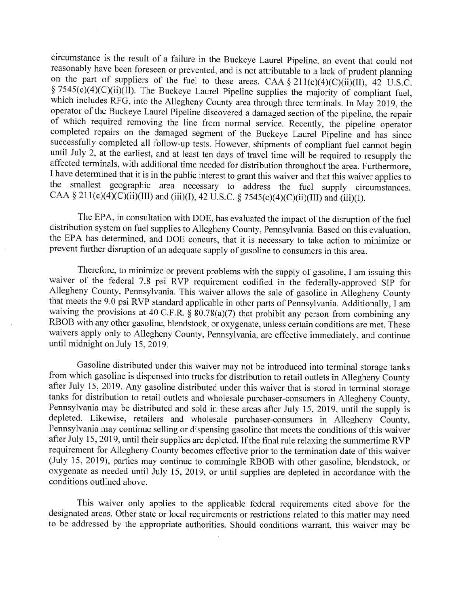circumstance is the result of a failure in the Buckeye Laurel Pipeline, an event that could not reasonably have been foreseen or prevented, and is not attributable to a lack of prudent planning on the part of suppliers of the fuel to these areas. CAA§ 21 l(c)(4)(C)(ii)(II), 42 U.S.C. § 7545(c)(4)(C)(ii)(II). The Buckeye Laurel Pipeline supplies the majority of compliant fuel, which includes RFG, into the Allegheny County area through three terminals. In May 2019, the operator of the Buckeye Laurel Pipeline discovered a damaged section of the pipeline, the repair of which required removing the line from normal service. Recently, the pipeline operator completed repairs on the damaged segment of the Buckeye Laurel Pipeline and has since successfully completed all follow-up tests. However, shipments of compliant fuel cannot begin until July 2, at the earliest, and at least ten days of travel time will be required to resupply the affected terminals, with additional time needed for distribution throughout the area. Furthermore, I have determined that it is in the public interest to grant this waiver and that this waiver applies to the smallest geographic area necessary to address the fuel supply circumstances. CAA § 211(c)(4)(C)(ii)(III) and (iii)(I), 42 U.S.C. § 7545(c)(4)(C)(ii)(III) and (iii)(I).

The EPA, in consultation with DOE, has evaluated the impact of the disruption of the fuel distribution system on fuel supplies to Allegheny County, Pennsylvania. Based on this evaluation, the EPA has determined, and DOE concurs, that it is necessary to take action to minimize or prevent further disruption of an adequate supply of gasoline to consumers in this area.

Therefore, to minimize or prevent problems with the supply of gasoline, I am issuing this waiver of the federal 7.8 psi RVP requirement codified in the federally-approved SIP for Allegheny County, Pennsylvania. This waiver allows the sale of gasoline in Allegheny County that meets the 9.0 psi RVP standard applicable in other parts of Pennsylvania. Additionally, I am waiving the provisions at 40 C.F.R. § 80.78(a)(7) that prohibit any person from combining any RBOB with any other gasoline, blendstock, or oxygenate, unless certain conditions are met. These waivers apply only to Allegheny County, Pennsylvania, are effective immediately, and continue until midnight on July 15, 2019.

Gasoline distributed under this waiver may not be introduced into terminal storage tanks from which gasoline is dispensed into trucks for distribution to retail outlets in Allegheny County after July 15, 2019. Any gasoline distributed under this waiver that is stored in terminal storage tanks for distribution to retail outlets and wholesale purchaser-consumers in Allegheny County, Pennsylvania may be distributed and sold in these areas after July 15, 2019, until the supply is depleted. Likewise, retailers and wholesale purchaser-consumers in Allegheny County, Pennsylvania may continue selling or dispensing gasoline that meets the conditions of this waiver after July 15, 2019, until their supplies are depleted. If the final rule relaxing the summertime RVP requirement for Allegheny County becomes effective prior to the termination date of this waiver (July 15, 2019), parties may continue to commingle RBOB with other gasoline, blendstock, or oxygenate as needed until July 15, 2019, or until supplies are depleted in accordance with the conditions outlined above.

This waiver only applies to the applicable federal requirements cited above for the designated areas. Other state or local requirements or restrictions related to this matter may need to be addressed by the appropriate authorities. Should conditions warrant, this waiver may be